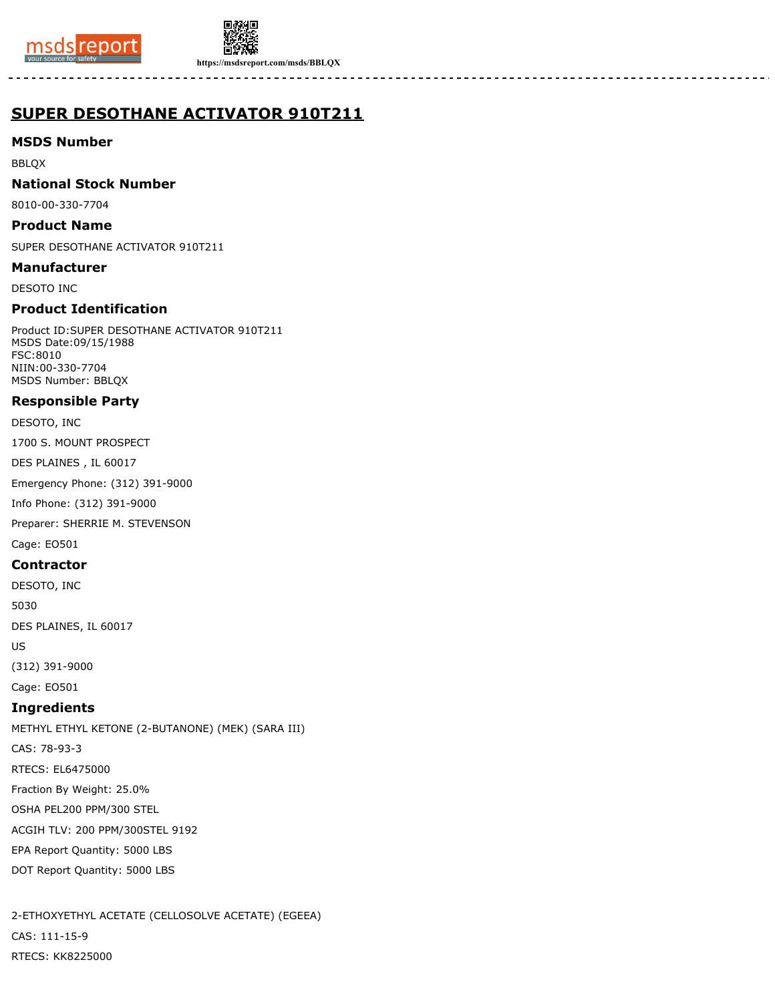



**https://msdsreport.com/msds/BBLQX**

# **SUPER DESOTHANE ACTIVATOR 910T211**

**MSDS Number**

BBLQX

**National Stock Number**

8010-00-330-7704

**Product Name**

SUPER DESOTHANE ACTIVATOR 910T211

**Manufacturer**

DESOTO INC

# **Product Identification**

Product ID:SUPER DESOTHANE ACTIVATOR 910T211 MSDS Date:09/15/1988 FSC:8010 NIIN:00-330-7704 MSDS Number: BBLQX

# **Responsible Party**

DESOTO, INC

1700 S. MOUNT PROSPECT

DES PLAINES , IL 60017

Emergency Phone: (312) 391-9000

Info Phone: (312) 391-9000

Preparer: SHERRIE M. STEVENSON

Cage: EO501

### **Contractor**

DESOTO, INC 5030 DES PLAINES, IL 60017 US

(312) 391-9000

Cage: EO501

# **Ingredients**

METHYL ETHYL KETONE (2-BUTANONE) (MEK) (SARA III) CAS: 78-93-3 RTECS: EL6475000 Fraction By Weight: 25.0% OSHA PEL200 PPM/300 STEL ACGIH TLV: 200 PPM/300STEL 9192 EPA Report Quantity: 5000 LBS DOT Report Quantity: 5000 LBS

2-ETHOXYETHYL ACETATE (CELLOSOLVE ACETATE) (EGEEA) CAS: 111-15-9 RTECS: KK8225000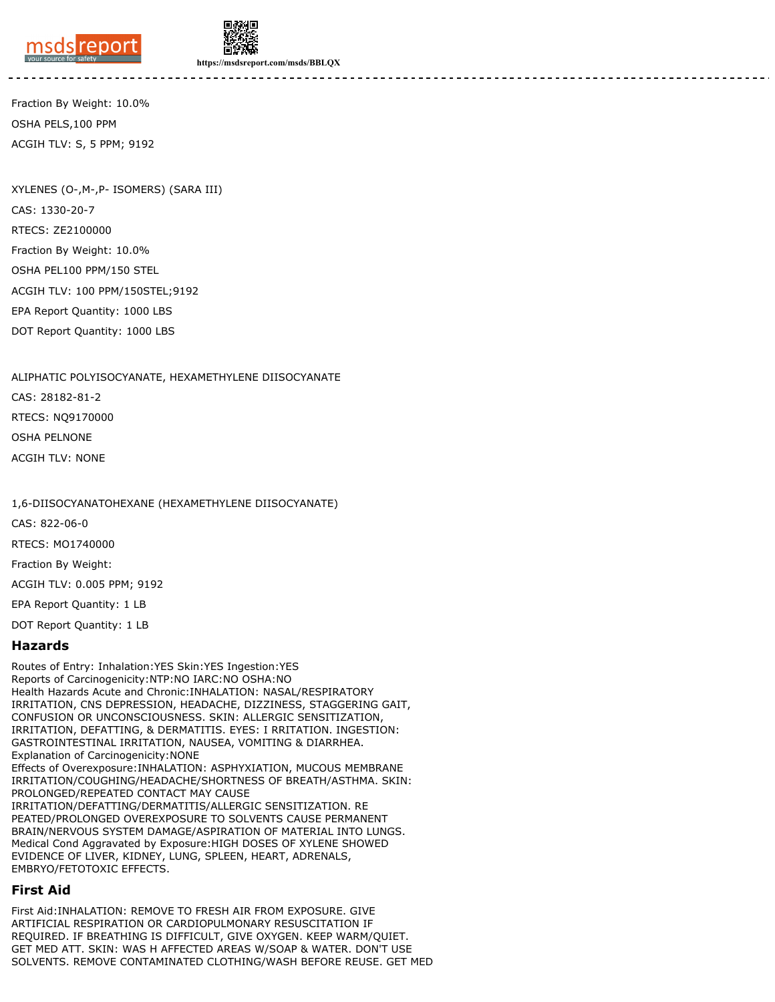



**https://msdsreport.com/msds/BBLQX**

Fraction By Weight: 10.0% OSHA PELS,100 PPM ACGIH TLV: S, 5 PPM; 9192

XYLENES (O-,M-,P- ISOMERS) (SARA III) CAS: 1330-20-7 RTECS: ZE2100000 Fraction By Weight: 10.0% OSHA PEL100 PPM/150 STEL ACGIH TLV: 100 PPM/150STEL;9192 EPA Report Quantity: 1000 LBS DOT Report Quantity: 1000 LBS

ALIPHATIC POLYISOCYANATE, HEXAMETHYLENE DIISOCYANATE CAS: 28182-81-2 RTECS: NQ9170000 OSHA PELNONE ACGIH TLV: NONE

1,6-DIISOCYANATOHEXANE (HEXAMETHYLENE DIISOCYANATE)

CAS: 822-06-0

RTECS: MO1740000

Fraction By Weight:

ACGIH TLV: 0.005 PPM; 9192

EPA Report Quantity: 1 LB

DOT Report Quantity: 1 LB

#### **Hazards**

Routes of Entry: Inhalation:YES Skin:YES Ingestion:YES Reports of Carcinogenicity:NTP:NO IARC:NO OSHA:NO Health Hazards Acute and Chronic:INHALATION: NASAL/RESPIRATORY IRRITATION, CNS DEPRESSION, HEADACHE, DIZZINESS, STAGGERING GAIT, CONFUSION OR UNCONSCIOUSNESS. SKIN: ALLERGIC SENSITIZATION, IRRITATION, DEFATTING, & DERMATITIS. EYES: I RRITATION. INGESTION: GASTROINTESTINAL IRRITATION, NAUSEA, VOMITING & DIARRHEA. Explanation of Carcinogenicity:NONE Effects of Overexposure:INHALATION: ASPHYXIATION, MUCOUS MEMBRANE IRRITATION/COUGHING/HEADACHE/SHORTNESS OF BREATH/ASTHMA. SKIN: PROLONGED/REPEATED CONTACT MAY CAUSE IRRITATION/DEFATTING/DERMATITIS/ALLERGIC SENSITIZATION. RE PEATED/PROLONGED OVEREXPOSURE TO SOLVENTS CAUSE PERMANENT BRAIN/NERVOUS SYSTEM DAMAGE/ASPIRATION OF MATERIAL INTO LUNGS. Medical Cond Aggravated by Exposure:HIGH DOSES OF XYLENE SHOWED EVIDENCE OF LIVER, KIDNEY, LUNG, SPLEEN, HEART, ADRENALS, EMBRYO/FETOTOXIC EFFECTS.

### **First Aid**

First Aid:INHALATION: REMOVE TO FRESH AIR FROM EXPOSURE. GIVE ARTIFICIAL RESPIRATION OR CARDIOPULMONARY RESUSCITATION IF REQUIRED. IF BREATHING IS DIFFICULT, GIVE OXYGEN. KEEP WARM/QUIET. GET MED ATT. SKIN: WAS H AFFECTED AREAS W/SOAP & WATER. DON'T USE SOLVENTS. REMOVE CONTAMINATED CLOTHING/WASH BEFORE REUSE. GET MED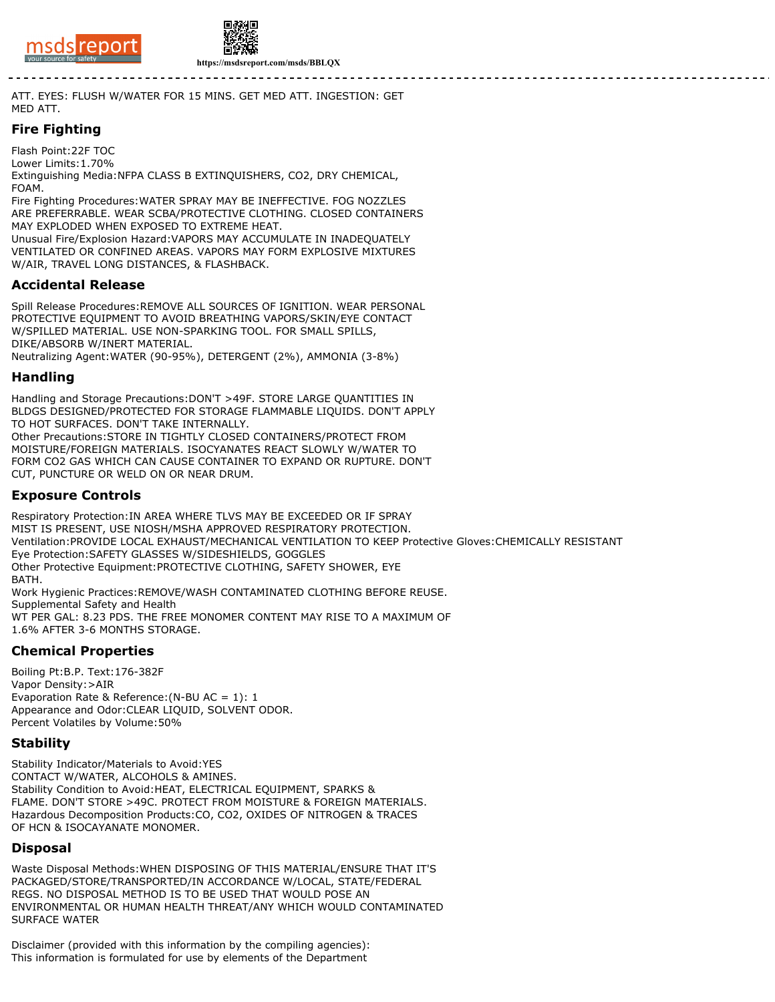



**https://msdsreport.com/msds/BBLQX**

ATT. EYES: FLUSH W/WATER FOR 15 MINS. GET MED ATT. INGESTION: GET MED ATT.

# **Fire Fighting**

Flash Point:22F TOC Lower Limits:1.70% Extinguishing Media:NFPA CLASS B EXTINQUISHERS, CO2, DRY CHEMICAL, FOAM.

Fire Fighting Procedures:WATER SPRAY MAY BE INEFFECTIVE. FOG NOZZLES ARE PREFERRABLE. WEAR SCBA/PROTECTIVE CLOTHING. CLOSED CONTAINERS MAY EXPLODED WHEN EXPOSED TO EXTREME HEAT.

Unusual Fire/Explosion Hazard:VAPORS MAY ACCUMULATE IN INADEQUATELY VENTILATED OR CONFINED AREAS. VAPORS MAY FORM EXPLOSIVE MIXTURES W/AIR, TRAVEL LONG DISTANCES, & FLASHBACK.

# **Accidental Release**

Spill Release Procedures:REMOVE ALL SOURCES OF IGNITION. WEAR PERSONAL PROTECTIVE EQUIPMENT TO AVOID BREATHING VAPORS/SKIN/EYE CONTACT W/SPILLED MATERIAL. USE NON-SPARKING TOOL. FOR SMALL SPILLS, DIKE/ABSORB W/INERT MATERIAL.

Neutralizing Agent:WATER (90-95%), DETERGENT (2%), AMMONIA (3-8%)

#### **Handling**

Handling and Storage Precautions:DON'T >49F. STORE LARGE QUANTITIES IN BLDGS DESIGNED/PROTECTED FOR STORAGE FLAMMABLE LIQUIDS. DON'T APPLY TO HOT SURFACES. DON'T TAKE INTERNALLY. Other Precautions:STORE IN TIGHTLY CLOSED CONTAINERS/PROTECT FROM MOISTURE/FOREIGN MATERIALS. ISOCYANATES REACT SLOWLY W/WATER TO FORM CO2 GAS WHICH CAN CAUSE CONTAINER TO EXPAND OR RUPTURE. DON'T CUT, PUNCTURE OR WELD ON OR NEAR DRUM.

# **Exposure Controls**

Respiratory Protection:IN AREA WHERE TLVS MAY BE EXCEEDED OR IF SPRAY MIST IS PRESENT, USE NIOSH/MSHA APPROVED RESPIRATORY PROTECTION. Ventilation:PROVIDE LOCAL EXHAUST/MECHANICAL VENTILATION TO KEEP Protective Gloves:CHEMICALLY RESISTANT Eye Protection:SAFETY GLASSES W/SIDESHIELDS, GOGGLES Other Protective Equipment:PROTECTIVE CLOTHING, SAFETY SHOWER, EYE BATH. Work Hygienic Practices:REMOVE/WASH CONTAMINATED CLOTHING BEFORE REUSE. Supplemental Safety and Health WT PER GAL: 8.23 PDS. THE FREE MONOMER CONTENT MAY RISE TO A MAXIMUM OF 1.6% AFTER 3-6 MONTHS STORAGE.

### **Chemical Properties**

Boiling Pt:B.P. Text:176-382F Vapor Density:>AIR Evaporation Rate & Reference:(N-BU AC = 1): 1 Appearance and Odor:CLEAR LIQUID, SOLVENT ODOR. Percent Volatiles by Volume:50%

### **Stability**

Stability Indicator/Materials to Avoid:YES CONTACT W/WATER, ALCOHOLS & AMINES. Stability Condition to Avoid:HEAT, ELECTRICAL EQUIPMENT, SPARKS & FLAME. DON'T STORE >49C. PROTECT FROM MOISTURE & FOREIGN MATERIALS. Hazardous Decomposition Products:CO, CO2, OXIDES OF NITROGEN & TRACES OF HCN & ISOCAYANATE MONOMER.

### **Disposal**

Waste Disposal Methods:WHEN DISPOSING OF THIS MATERIAL/ENSURE THAT IT'S PACKAGED/STORE/TRANSPORTED/IN ACCORDANCE W/LOCAL, STATE/FEDERAL REGS. NO DISPOSAL METHOD IS TO BE USED THAT WOULD POSE AN ENVIRONMENTAL OR HUMAN HEALTH THREAT/ANY WHICH WOULD CONTAMINATED SURFACE WATER

Disclaimer (provided with this information by the compiling agencies): This information is formulated for use by elements of the Department